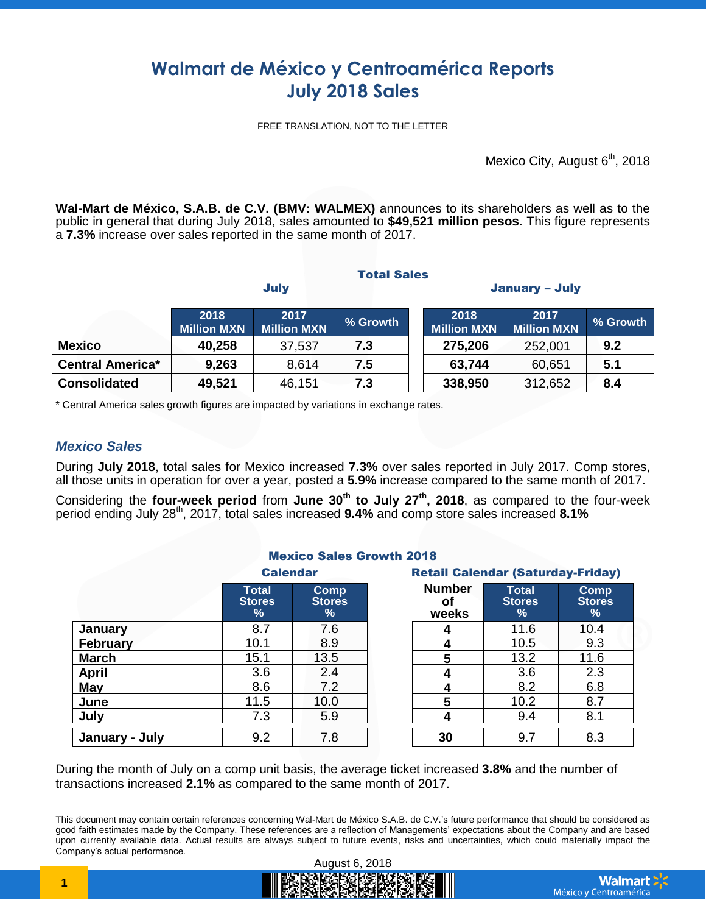# **Walmart de México y Centroamérica Reports July 2018 Sales**

FREE TRANSLATION, NOT TO THE LETTER

Mexico City, August 6<sup>th</sup>, 2018

**Wal-Mart de México, S.A.B. de C.V. (BMV: WALMEX)** announces to its shareholders as well as to the public in general that during July 2018, sales amounted to **\$49,521 million pesos**. This figure represents a **7.3%** increase over sales reported in the same month of 2017.

**Total Sales** 

|                         | <b>July</b>                |                            |          | <b>January - July</b>      |                            |          |
|-------------------------|----------------------------|----------------------------|----------|----------------------------|----------------------------|----------|
|                         | 2018<br><b>Million MXN</b> | 2017<br><b>Million MXN</b> | % Growth | 2018<br><b>Million MXN</b> | 2017<br><b>Million MXN</b> | % Growth |
| <b>Mexico</b>           | 40,258                     | 37,537                     | 7.3      | 275,206                    | 252,001                    | 9.2      |
| <b>Central America*</b> | 9,263                      | 8,614                      | 7.5      | 63,744                     | 60,651                     | 5.1      |
| <b>Consolidated</b>     | 49,521                     | 46,151                     | 7.3      | 338,950                    | 312,652                    | 8.4      |

\* Central America sales growth figures are impacted by variations in exchange rates.

### *Mexico Sales*

During **July 2018**, total sales for Mexico increased **7.3%** over sales reported in July 2017. Comp stores, all those units in operation for over a year, posted a **5.9%** increase compared to the same month of 2017.

Considering the **four-week period** from **June 30th to July 27 th, 2018**, as compared to the four-week period ending July 28th , 2017, total sales increased **9.4%** and comp store sales increased **8.1%**

| <b>Mexico Sales Growth 2018</b> |                                    |                                               |  |                                          |                                    |                            |
|---------------------------------|------------------------------------|-----------------------------------------------|--|------------------------------------------|------------------------------------|----------------------------|
|                                 | <b>Calendar</b>                    |                                               |  | <b>Retail Calendar (Saturday-Friday)</b> |                                    |                            |
|                                 | <b>Total</b><br><b>Stores</b><br>% | <b>Comp</b><br><b>Stores</b><br>$\frac{9}{6}$ |  | <b>Number</b><br>Οt<br>weeks             | <b>Total</b><br><b>Stores</b><br>% | Comp<br><b>Stores</b><br>% |
| January                         | 8.7                                | 7.6                                           |  |                                          | 11.6                               | 10.4                       |
| <b>February</b>                 | 10.1                               | 8.9                                           |  |                                          | 10.5                               | 9.3                        |
| <b>March</b>                    | 15.1                               | 13.5                                          |  | 5                                        | 13.2                               | 11.6                       |
| <b>April</b>                    | 3.6                                | 2.4                                           |  | 4                                        | 3.6                                | 2.3                        |
| May                             | 8.6                                | 7.2                                           |  | 4                                        | 8.2                                | 6.8                        |
| June                            | 11.5                               | 10.0                                          |  | 5                                        | 10.2                               | 8.7                        |
| July                            | 7.3                                | 5.9                                           |  |                                          | 9.4                                | 8.1                        |
| January - July                  | 9.2                                | 7.8                                           |  | 30                                       | 9.7                                | 8.3                        |

During the month of July on a comp unit basis, the average ticket increased **3.8%** and the number of transactions increased **2.1%** as compared to the same month of 2017.

This document may contain certain references concerning Wal-Mart de México S.A.B. de C.V.'s future performance that should be considered as good faith estimates made by the Company. These references are a reflection of Managements' expectations about the Company and are based upon currently available data. Actual results are always subject to future events, risks and uncertainties, which could materially impact the Company's actual performance.

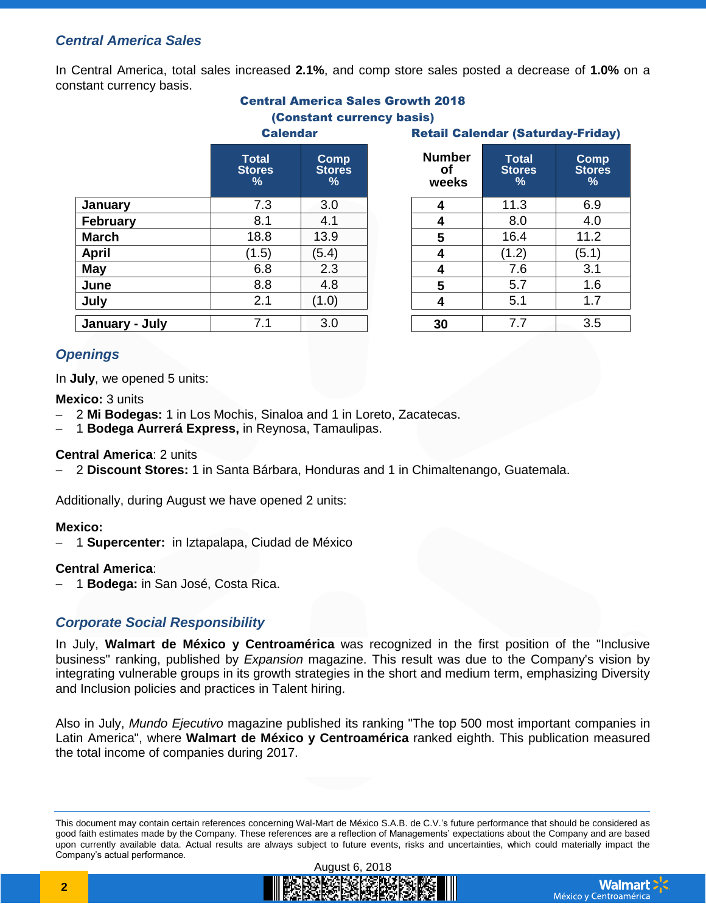## *Central America Sales*

In Central America, total sales increased **2.1%**, and comp store sales posted a decrease of **1.0%** on a constant currency basis.

|  | <b>Central America Sales Growth 2018</b>                         |  |  |
|--|------------------------------------------------------------------|--|--|
|  | $\mathbf{A}$ and $\mathbf{A}$ and an integration of $\mathbf{A}$ |  |  |

#### (Constant currency basis) Calendar Retail Calendar (Saturday-Friday)

|                 |                                    |                            | <u>INTERNI TRITTINGI (TRIMINA) I IIM</u> |                                    |                                      |  |
|-----------------|------------------------------------|----------------------------|------------------------------------------|------------------------------------|--------------------------------------|--|
|                 | <b>Total</b><br><b>Stores</b><br>% | Comp<br><b>Stores</b><br>% | <b>Number</b><br>оf<br>weeks             | <b>Total</b><br><b>Stores</b><br>% | Com<br><b>Store</b><br>$\frac{9}{6}$ |  |
| January         | 7.3                                | 3.0                        | 4                                        | 11.3                               | 6.9                                  |  |
| <b>February</b> | 8.1                                | 4.1                        | 4                                        | 8.0                                | 4.0                                  |  |
| <b>March</b>    | 18.8                               | 13.9                       | 5                                        | 16.4                               | 11.2                                 |  |
| <b>April</b>    | (1.5)                              | (5.4)                      |                                          | (1.2)                              | (5.1)                                |  |
| <b>May</b>      | 6.8                                | 2.3                        | 4                                        | 7.6                                | 3.1                                  |  |
| June            | 8.8                                | 4.8                        | 5                                        | 5.7                                | 1.6                                  |  |
| July            | 2.1                                | (1.0)                      | 4                                        | 5.1                                | 1.7                                  |  |
| January - July  | 7.1                                | 3.0                        | 30                                       | 7.7                                | 3.5                                  |  |

| <b>Number</b><br>оf<br>weeks | <b>Total</b><br><b>Stores</b><br>$\%$ | Comp<br><b>Stores</b><br>$\frac{9}{6}$ |  |  |
|------------------------------|---------------------------------------|----------------------------------------|--|--|
| 4                            | 11.3                                  | 6.9                                    |  |  |
| 4                            | 8.0                                   | 4.0                                    |  |  |
| 5                            | 16.4                                  | 11.2                                   |  |  |
| 4                            | (1.2)                                 | (5.1)                                  |  |  |
| 4                            | 7.6                                   | 3.1                                    |  |  |
| 5                            | 5.7                                   | 1.6                                    |  |  |
| 4                            | 5.1                                   | 1.7                                    |  |  |
| 30                           | 7.7                                   | 3.5                                    |  |  |

## *Openings*

In **July**, we opened 5 units:

#### **Mexico:** 3 units

- 2 **Mi Bodegas:** 1 in Los Mochis, Sinaloa and 1 in Loreto, Zacatecas.
- 1 **Bodega Aurrerá Express,** in Reynosa, Tamaulipas.

#### **Central America**: 2 units

2 **Discount Stores:** 1 in Santa Bárbara, Honduras and 1 in Chimaltenango, Guatemala.

Additionally, during August we have opened 2 units:

#### **Mexico:**

1 **Supercenter:** in Iztapalapa, Ciudad de México

#### **Central America**:

1 **Bodega:** in San José, Costa Rica.

## *Corporate Social Responsibility*

In July, **Walmart de México y Centroamérica** was recognized in the first position of the "Inclusive business" ranking, published by *Expansion* magazine. This result was due to the Company's vision by integrating vulnerable groups in its growth strategies in the short and medium term, emphasizing Diversity and Inclusion policies and practices in Talent hiring.

Also in July, *Mundo Ejecutivo* magazine published its ranking "The top 500 most important companies in Latin America", where **Walmart de México y Centroamérica** ranked eighth. This publication measured the total income of companies during 2017.

This document may contain certain references concerning Wal-Mart de México S.A.B. de C.V.'s future performance that should be considered as good faith estimates made by the Company. These references are a reflection of Managements' expectations about the Company and are based upon currently available data. Actual results are always subject to future events, risks and uncertainties, which could materially impact the Company's actual performance.